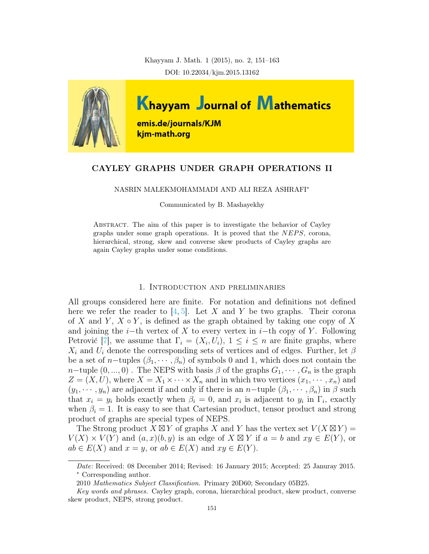Khayyam J. Math. 1 (2015), no. 2, 151–163 DOI: 10.22034/kjm.2015.13162



## CAYLEY GRAPHS UNDER GRAPH OPERATIONS II

NASRIN MALEKMOHAMMADI AND ALI REZA ASHRAFI<sup>∗</sup>

Communicated by B. Mashayekhy

Abstract. The aim of this paper is to investigate the behavior of Cayley graphs under some graph operations. It is proved that the  $NEPS$ , corona, hierarchical, strong, skew and converse skew products of Cayley graphs are again Cayley graphs under some conditions.

#### 1. Introduction and preliminaries

All groups considered here are finite. For notation and definitions not defined here we refer the reader to [\[4,](#page-12-0) [5\]](#page-12-1). Let X and Y be two graphs. Their corona of X and Y,  $X \circ Y$ , is defined as the graph obtained by taking one copy of X and joining the i−th vertex of X to every vertex in i−th copy of Y. Following Petrović [\[7\]](#page-12-2), we assume that  $\Gamma_i = (X_i, U_i), 1 \leq i \leq n$  are finite graphs, where  $X_i$  and  $U_i$  denote the corresponding sets of vertices and of edges. Further, let  $\beta$ be a set of n-tuples  $(\beta_1, \dots, \beta_n)$  of symbols 0 and 1, which does not contain the  $n$ −tuple  $(0, ..., 0)$ . The NEPS with basis  $\beta$  of the graphs  $G_1, \dots, G_n$  is the graph  $Z = (X, U)$ , where  $X = X_1 \times \cdots \times X_n$  and in which two vertices  $(x_1, \dots, x_n)$  and  $(y_1, \dots, y_n)$  are adjacent if and only if there is an n-tuple  $(\beta_1, \dots, \beta_n)$  in  $\beta$  such that  $x_i = y_i$  holds exactly when  $\beta_i = 0$ , and  $x_i$  is adjacent to  $y_i$  in  $\Gamma_i$ , exactly when  $\beta_i = 1$ . It is easy to see that Cartesian product, tensor product and strong product of graphs are special types of NEPS.

The Strong product  $\overline{X} \boxtimes \overline{Y}$  of graphs X and Y has the vertex set  $V(X \boxtimes Y) =$  $V(X) \times V(Y)$  and  $(a, x)(b, y)$  is an edge of  $X \boxtimes Y$  if  $a = b$  and  $xy \in E(Y)$ , or  $ab \in E(X)$  and  $x = y$ , or  $ab \in E(X)$  and  $xy \in E(Y)$ .

Date: Received: 08 December 2014; Revised: 16 January 2015; Accepted: 25 Januray 2015. <sup>∗</sup> Corresponding author.

<sup>2010</sup> Mathematics Subject Classification. Primary 20D60; Secondary 05B25.

Key words and phrases. Cayley graph, corona, hierarchical product, skew product, converse skew product, NEPS, strong product.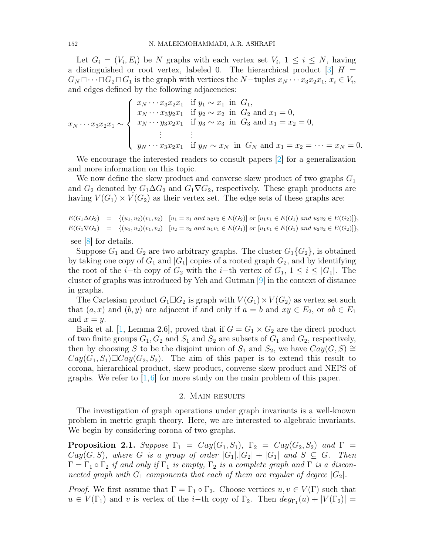Let  $G_i = (V_i, E_i)$  be N graphs with each vertex set  $V_i$ ,  $1 \leq i \leq N$ , having a distinguished or root vertex, labeled 0. The hierarchical product  $\begin{bmatrix} 3 \end{bmatrix} H =$  $G_N \sqcap \cdots \sqcap G_2 \sqcap G_1$  is the graph with vertices the  $N$ -tuples  $x_N \cdots x_3 x_2 x_1, x_i \in V_i$ , and edges defined by the following adjacencies:

$$
x_N \cdots x_3 x_2 x_1 \sim\n\begin{cases}\nx_N \cdots x_3 x_2 x_1 & \text{if } y_1 \sim x_1 \text{ in } G_1, \\
x_N \cdots x_3 y_2 x_1 & \text{if } y_2 \sim x_2 \text{ in } G_2 \text{ and } x_1 = 0, \\
x_N \cdots y_3 x_2 x_1 & \text{if } y_3 \sim x_3 \text{ in } G_3 \text{ and } x_1 = x_2 = 0, \\
\vdots & \vdots \\
y_N \cdots x_3 x_2 x_1 & \text{if } y_N \sim x_N \text{ in } G_N \text{ and } x_1 = x_2 = \cdots = x_N = 0.\n\end{cases}
$$

We encourage the interested readers to consult papers [\[2\]](#page-12-4) for a generalization and more information on this topic.

We now define the skew product and converse skew product of two graphs  $G_1$ and  $G_2$  denoted by  $G_1 \Delta G_2$  and  $G_1 \nabla G_2$ , respectively. These graph products are having  $V(G_1) \times V(G_2)$  as their vertex set. The edge sets of these graphs are:

 $E(G_1 \Delta G_2) = \{(u_1, u_2)(v_1, v_2) \mid [u_1 = v_1 \text{ and } u_2v_2 \in E(G_2)] \text{ or } [u_1v_1 \in E(G_1) \text{ and } u_2v_2 \in E(G_2)]\},$  $E(G_1 \nabla G_2) = \{(u_1, u_2)(v_1, v_2) \mid [u_2 = v_2 \text{ and } u_1v_1 \in E(G_1)] \text{ or } [u_1v_1 \in E(G_1) \text{ and } u_2v_2 \in E(G_2)]\},\$ 

see [\[8\]](#page-12-5) for details.

Suppose  $G_1$  and  $G_2$  are two arbitrary graphs. The cluster  $G_1\{G_2\}$ , is obtained by taking one copy of  $G_1$  and  $|G_1|$  copies of a rooted graph  $G_2$ , and by identifying the root of the i−th copy of  $G_2$  with the i−th vertex of  $G_1$ ,  $1 \leq i \leq |G_1|$ . The cluster of graphs was introduced by Yeh and Gutman [\[9\]](#page-12-6) in the context of distance in graphs.

The Cartesian product  $G_1 \square G_2$  is graph with  $V(G_1) \times V(G_2)$  as vertex set such that  $(a, x)$  and  $(b, y)$  are adjacent if and only if  $a = b$  and  $xy \in E_2$ , or  $ab \in E_1$ and  $x = y$ .

Baik et al. [\[1,](#page-12-7) Lemma 2.6], proved that if  $G = G_1 \times G_2$  are the direct product of two finite groups  $G_1, G_2$  and  $S_1$  and  $S_2$  are subsets of  $G_1$  and  $G_2$ , respectively, then by choosing S to be the disjoint union of  $S_1$  and  $S_2$ , we have  $Cay(G, S) \cong$  $Cay(G_1, S_1)\square Cay(G_2, S_2)$ . The aim of this paper is to extend this result to corona, hierarchical product, skew product, converse skew product and NEPS of graphs. We refer to  $\left[1, 6\right]$  $\left[1, 6\right]$  $\left[1, 6\right]$  for more study on the main problem of this paper.

### 2. Main results

The investigation of graph operations under graph invariants is a well-known problem in metric graph theory. Here, we are interested to algebraic invariants. We begin by considering corona of two graphs.

**Proposition 2.1.** Suppose  $\Gamma_1 = Cay(G_1, S_1)$ ,  $\Gamma_2 = Cay(G_2, S_2)$  and  $\Gamma =$  $Cay(G, S)$ , where G is a group of order  $|G_1|.|G_2|+|G_1|$  and  $S \subseteq G$ . Then  $\Gamma = \Gamma_1 \circ \Gamma_2$  if and only if  $\Gamma_1$  is empty,  $\Gamma_2$  is a complete graph and  $\Gamma$  is a disconnected graph with  $G_1$  components that each of them are regular of degree  $|G_2|$ .

*Proof.* We first assume that  $\Gamma = \Gamma_1 \circ \Gamma_2$ . Choose vertices  $u, v \in V(\Gamma)$  such that  $u \in V(\Gamma_1)$  and v is vertex of the *i*-th copy of  $\Gamma_2$ . Then  $deg_{\Gamma_1}(u) + |V(\Gamma_2)| =$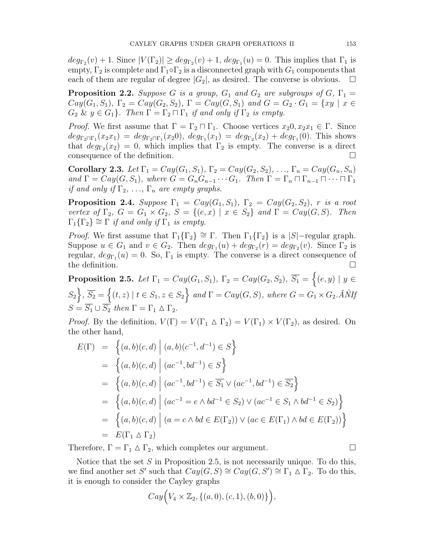$deg_{\Gamma_2}(v) + 1$ . Since  $|V(\Gamma_2)| \geq deg_{\Gamma_2}(v) + 1$ ,  $deg_{\Gamma_1}(u) = 0$ . This implies that  $\Gamma_1$  is empty,  $\Gamma_2$  is complete and  $\Gamma_1 \circ \Gamma_2$  is a disconnected graph with  $G_1$  components that each of them are regular of degree  $|G_2|$ , as desired. The converse is obvious.  $\Box$ 

**Proposition 2.2.** Suppose G is a group,  $G_1$  and  $G_2$  are subgroups of  $G$ ,  $\Gamma_1$  =  $Cay(G_1, S_1), \Gamma_2 = Cay(G_2, S_2), \Gamma = Cay(G, S_1) \text{ and } G = G_2 \cdot G_1 = \{xy \mid x \in$  $G_2 \& y \in G_1$ . Then  $\Gamma = \Gamma_2 \sqcap \Gamma_1$  if and only if  $\Gamma_2$  is empty.

*Proof.* We first assume that  $\Gamma = \Gamma_2 \sqcap \Gamma_1$ . Choose vertices  $x_20, x_2x_1 \in \Gamma$ . Since  $deg_{\Gamma_2 \sqcap \Gamma_1}(x_2x_1) = deg_{\Gamma_2 \sqcap \Gamma_1}(x_20), deg_{\Gamma_1}(x_1) = deg_{\Gamma_2}(x_2) + deg_{\Gamma_1}(0).$  This shows that  $deg_{\Gamma_2}(x_2) = 0$ , which implies that  $\Gamma_2$  is empty. The converse is a direct consequence of the definition.

Corollary 2.3. Let  $\Gamma_1 = Cay(G_1, S_1), \Gamma_2 = Cay(G_2, S_2), \ldots, \Gamma_n = Cay(G_n, S_n)$ and  $\Gamma = Cay(G, S_1)$ , where  $G = G_n G_{n-1} \cdots G_1$ . Then  $\Gamma = \Gamma_n \cap \Gamma_{n-1} \cap \cdots \cap \Gamma_1$ if and only if  $\Gamma_2, \ldots, \Gamma_n$  are empty graphs.

**Proposition 2.4.** Suppose  $\Gamma_1 = Cay(G_1, S_1)$ ,  $\Gamma_2 = Cay(G_2, S_2)$ , r is a root vertex of  $\Gamma_2$ ,  $G = G_1 \times G_2$ ,  $S = \{(e, x) \mid x \in S_2\}$  and  $\Gamma = Cay(G, S)$ . Then  $\Gamma_1\{\Gamma_2\} \cong \Gamma$  if and only if  $\Gamma_1$  is empty.

*Proof.* We first assume that  $\Gamma_1\{\Gamma_2\} \cong \Gamma$ . Then  $\Gamma_1\{\Gamma_2\}$  is a  $|S|$ -regular graph. Suppose  $u \in G_1$  and  $v \in G_2$ . Then  $deg_{\Gamma_1}(u) + deg_{\Gamma_2}(r) = deg_{\Gamma_2}(v)$ . Since  $\Gamma_2$  is regular,  $deg_{\Gamma_1}(u) = 0$ . So,  $\Gamma_1$  is empty. The converse is a direct consequence of the definition.  $\Box$ 

Proposition 2.5. Let  $\Gamma_1 = Cay(G_1, S_1)$ ,  $\Gamma_2 = Cay(G_2, S_2)$ ,  $\overline{S_1} = \left\{ (e, y) \mid y \in \Gamma \right\}$  $S_2$ ,  $\overline{S_2} = \{(t, z) \mid t \in S_1, z \in S_2\}$  and  $\Gamma = Cay(G, S)$ , where  $G = G_1 \times G_2$ .  $\hat{A}N$  $S = \overline{S_1} \cup \overline{S_2}$  then  $\Gamma = \Gamma_1 \wedge \Gamma_2$ .

*Proof.* By the definition,  $V(\Gamma) = V(\Gamma_1 \triangle \Gamma_2) = V(\Gamma_1) \times V(\Gamma_2)$ , as desired. On the other hand,

$$
E(\Gamma) = \left\{ (a, b)(c, d) \middle| (a, b)(c^{-1}, d^{-1}) \in S \right\}
$$
  
\n
$$
= \left\{ (a, b)(c, d) \middle| (ac^{-1}, bd^{-1}) \in S \right\}
$$
  
\n
$$
= \left\{ (a, b)(c, d) \middle| (ac^{-1}, bd^{-1}) \in \overline{S_1} \vee (ac^{-1}, bd^{-1}) \in \overline{S_2} \right\}
$$
  
\n
$$
= \left\{ (a, b)(c, d) \middle| (ac^{-1} = e \wedge bd^{-1} \in S_2) \vee (ac^{-1} \in S_1 \wedge bd^{-1} \in S_2) \right\}
$$
  
\n
$$
= \left\{ (a, b)(c, d) \middle| (a = c \wedge bd \in E(\Gamma_2)) \vee (ac \in E(\Gamma_1) \wedge bd \in E(\Gamma_2)) \right\}
$$
  
\n
$$
= E(\Gamma_1 \triangle \Gamma_2)
$$

Therefore,  $\Gamma = \Gamma_1 \triangle \Gamma_2$ , which completes our argument.

Notice that the set  $S$  in Proposition 2.5, is not necessarily unique. To do this, we find another set S' such that  $Cay(G, S) \cong Cay(G, S') \cong \Gamma_1 \wedge \Gamma_2$ . To do this, it is enough to consider the Cayley graphs

$$
Cay(V_4 \times \mathbb{Z}_2, \{(a,0), (c,1), (b,0)\}\big),
$$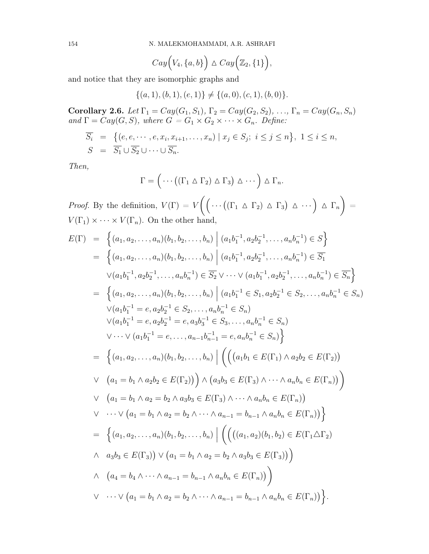154 N. MALEKMOHAMMADI, A.R. ASHRAFI

$$
Cay(Q_4, \{a, b\}) \triangle Cay(\mathbb{Z}_2, \{1\}),
$$

and notice that they are isomorphic graphs and

$$
\{(a,1),(b,1),(e,1)\}\neq \{(a,0),(c,1),(b,0)\}.
$$

**Corollary 2.6.** Let  $\Gamma_1 = Cay(G_1, S_1), \Gamma_2 = Cay(G_2, S_2), \ldots, \Gamma_n = Cay(G_n, S_n)$ and  $\Gamma = Cay(G, S)$ , where  $G = G_1 \times G_2 \times \cdots \times G_n$ . Define:

$$
\overline{S_i} = \{ (e, e, \dots, e, x_i, x_{i+1}, \dots, x_n) \mid x_j \in S_j; i \leq j \leq n \}, 1 \leq i \leq n, \nS = \overline{S_1} \cup \overline{S_2} \cup \dots \cup \overline{S_n}.
$$

Then,

$$
\Gamma = \left( \cdots \left( (\Gamma_1 \wedge \Gamma_2) \wedge \Gamma_3 \right) \wedge \cdots \right) \wedge \Gamma_n.
$$

*Proof.* By the definition,  $V(\Gamma) = V((\Gamma_1 \triangle \Gamma_2) \triangle \Gamma_3) \triangle \cdots) \triangle \Gamma_n)$ =  $V(\Gamma_1) \times \cdots \times V(\Gamma_n)$ . On the other hand,

$$
E(\Gamma) = \left\{ (a_1, a_2, ..., a_n)(b_1, b_2, ..., b_n) \middle| (a_1b_1^{-1}, a_2b_2^{-1}, ..., a_nb_n^{-1}) \in S \right\}
$$
  
\n
$$
= \left\{ (a_1, a_2, ..., a_n)(b_1, b_2, ..., b_n) \middle| (a_1b_1^{-1}, a_2b_2^{-1}, ..., a_nb_n^{-1}) \in \overline{S_1}
$$
  
\n
$$
\vee (a_1b_1^{-1}, a_2b_2^{-1}, ..., a_nb_n^{-1}) \in \overline{S_2} \vee \cdots \vee (a_1b_1^{-1}, a_2b_2^{-1}, ..., a_nb_n^{-1}) \in \overline{S_n} \right\}
$$
  
\n
$$
= \left\{ (a_1, a_2, ..., a_n)(b_1, b_2, ..., b_n) \middle| (a_1b_1^{-1} \in S_1, a_2b_2^{-1} \in S_2, ..., a_nb_n^{-1} \in S_n) \right\}
$$
  
\n
$$
\vee (a_1b_1^{-1} = e, a_2b_2^{-1} \in S_2, ..., a_nb_n^{-1} \in S_n)
$$
  
\n
$$
\vee (a_1b_1^{-1} = e, a_2b_2^{-1} = e, a_3b_3^{-1} \in S_3, ..., a_nb_n^{-1} \in S_n) \right\}
$$
  
\n
$$
= \left\{ (a_1, a_2, ..., a_n)(b_1, b_2, ..., b_n) \middle| \left( \left( (a_1b_1 \in E(\Gamma_1) \land a_2b_2 \in E(\Gamma_2)) \right) \vee (a_1 = b_1 \land a_2b_2 \in E(\Gamma_2)) \right) \land (a_3b_3 \in E(\Gamma_3) \land \cdots \land a_nb_n \in E(\Gamma_n)) \right) \right\}
$$
  
\n
$$
\vee (a_1 = b_1 \land a_2 = b_2 \land a_3b_3 \in E(\Gamma_3) \land \cdots \land a_nb_n \in E(\Gamma_n)) \right\}
$$
  
\n
$$
\vee (a_1 = b_1 \land a_2 = b_2 \land \cdots \land a_{n-1} = b_{n-1} \land a_nb_n \in E(\Gamma_n)) \right\}
$$
  
\n
$$
\
$$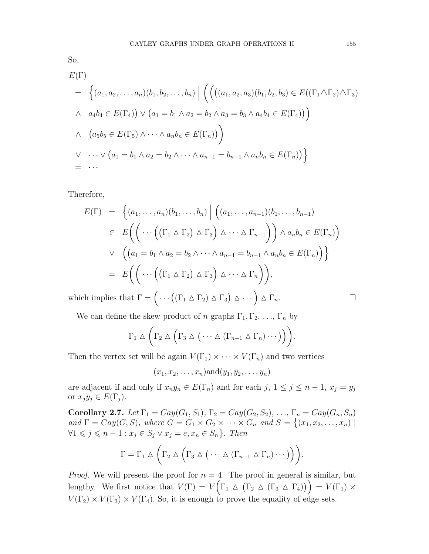$$
E(\Gamma)
$$
\n
$$
= \left\{ (a_1, a_2, \dots, a_n)(b_1, b_2, \dots, b_n) \mid \left( \left( ((a_1, a_2, a_3)(b_1, b_2, b_3) \in E((\Gamma_1 \triangle \Gamma_2) \triangle \Gamma_3) \right) \wedge a_4 b_4 \in E(\Gamma_4) \right) \vee (a_1 = b_1 \wedge a_2 = b_2 \wedge a_3 = b_3 \wedge a_4 b_4 \in E(\Gamma_4)) \right\}
$$
\n
$$
\wedge \left( a_5 b_5 \in E(\Gamma_5) \wedge \dots \wedge a_n b_n \in E(\Gamma_n) \right) \right\}
$$
\n
$$
\vee \dots \vee (a_1 = b_1 \wedge a_2 = b_2 \wedge \dots \wedge a_{n-1} = b_{n-1} \wedge a_n b_n \in E(\Gamma_n) \right)\}
$$
\n
$$
= \dots
$$

Therefore,

$$
E(\Gamma) = \left\{ (a_1, \ldots, a_n)(b_1, \ldots, b_n) \mid \left( (a_1, \ldots, a_{n-1})(b_1, \ldots, b_{n-1}) \right) \in E\left( \left( \cdots \left( (\Gamma_1 \triangle \Gamma_2) \triangle \Gamma_3 \right) \triangle \cdots \triangle \Gamma_{n-1} \right) \right) \wedge a_n b_n \in E(\Gamma_n) \right)
$$
  
 
$$
\vee \left( (a_1 = b_1 \wedge a_2 = b_2 \wedge \cdots \wedge a_{n-1} = b_{n-1} \wedge a_n b_n \in E(\Gamma_n) \right) \right\}
$$
  

$$
= E\left( \left( \cdots \left( (\Gamma_1 \triangle \Gamma_2) \triangle \Gamma_3 \right) \triangle \cdots \triangle \Gamma_n \right) \right),
$$

which implies that  $\Gamma = \left( \cdots \left( (\Gamma_1 \wedge \Gamma_2) \wedge \Gamma_3 \right) \wedge \cdots \right) \wedge \Gamma_n.$ 

$$
\qquad \qquad \Box
$$

We can define the skew product of n graphs  $\Gamma_1, \Gamma_2, \ldots, \Gamma_n$  by

$$
\Gamma_1 \triangle \left(\Gamma_2 \triangle \left(\Gamma_3 \triangle (\cdots \triangle (\Gamma_{n-1} \triangle \Gamma_n) \cdots )\right)\right).
$$

Then the vertex set will be again  $V(\Gamma_1) \times \cdots \times V(\Gamma_n)$  and two vertices

$$
(x_1,x_2,\ldots,x_n)\text{and}(y_1,y_2,\ldots,y_n)
$$

are adjacent if and only if  $x_n y_n \in E(\Gamma_n)$  and for each j,  $1 \le j \le n-1$ ,  $x_j = y_j$ or  $x_jy_j \in E(\Gamma_j)$ .

Corollary 2.7. Let  $\Gamma_1 = Cay(G_1, S_1), \Gamma_2 = Cay(G_2, S_2), \ldots, \Gamma_n = Cay(G_n, S_n)$ and  $\Gamma = Cay(G, S)$ , where  $G = G_1 \times G_2 \times \cdots \times G_n$  and  $S = \{(x_1, x_2, \ldots, x_n) \mid$  $\forall 1 \leq j \leq n-1 : x_j \in S_j \vee x_j = e, x_n \in S_n$ . Then

$$
\Gamma = \Gamma_1 \vartriangle \left( \Gamma_2 \vartriangle \left( \Gamma_3 \vartriangle (\cdots \vartriangle (\Gamma_{n-1} \vartriangle \Gamma_n) \cdots ) \right) \right).
$$

*Proof.* We will present the proof for  $n = 4$ . The proof in general is similar, but lengthy. We first notice that  $V(\Gamma) = V(\Gamma_1 \triangle (\Gamma_2 \triangle (\Gamma_3 \triangle \Gamma_4))) = V(\Gamma_1) \times$  $V(\Gamma_2) \times V(\Gamma_3) \times V(\Gamma_4)$ . So, it is enough to prove the equality of edge sets.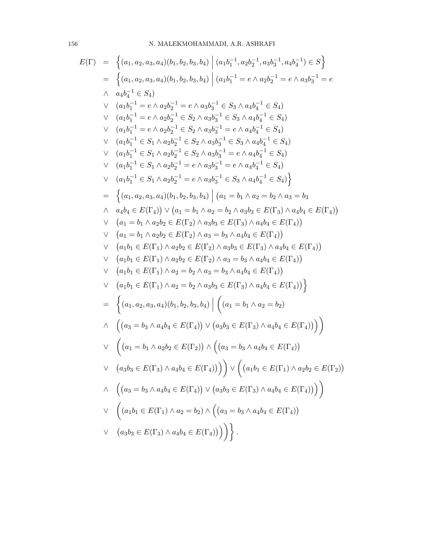# 156 N. MALEKMOHAMMADI, A.R. ASHRAFI

$$
E(\Gamma) = \left\{ (a_1, a_2, a_3, a_4)(b_1, b_2, b_3, b_4) | (a_1b_1^{-1}, a_2b_2^{-1}, a_3b_3^{-1}, a_4b_4^{-1}) \in S \right\}= \left\{ (a_1, a_2, a_3, a_4)(b_1, b_2, b_3, b_4) | (a_1b_1^{-1} = e \land a_2b_2^{-1} = e \land a_3b_3^{-1} = e \right\}\land a_4b_4^{-1} \in S_4)
$$
  

$$
\lor (a_1b_1^{-1} = e \land a_2b_2^{-1} = e \land a_3b_3^{-1} \in S_3 \land a_4b_4^{-1} \in S_4)
$$
  

$$
\lor (a_1b_1^{-1} = e \land a_2b_2^{-1} \in S_2 \land a_3b_3^{-1} = S_3 \land a_4b_4^{-1} \in S_4)
$$
  

$$
\lor (a_1b_1^{-1} = e \land a_2b_2^{-1} \in S_2 \land a_3b_3^{-1} = e \land a_4b_4^{-1} \in S_4)
$$
  

$$
\lor (a_1b_1^{-1} \in S_1 \land a_2b_2^{-1} \in S_2 \land a_3b_3^{-1} = e \land a_4b_4^{-1} \in S_4)
$$
  

$$
\lor (a_1b_1^{-1} \in S_1 \land a_2b_2^{-1} = e \land a_3b_3^{-1} = e \land a_4b_4^{-1} \in S_4)
$$
  

$$
\lor (a_1b_1^{-1} \in S_1 \land a_2b_2^{-1} = e \land a_3b_3^{-1} = e \land a_4b_4^{-1} \in S_4)
$$
  

$$
\lor (a_1b_1^{-1} \in S_1 \land a_2b_2^{-1} = e \land a_3b_3^{-1} \in S_3 \land a_4b_4^{-1} \in S_4)
$$
  

$$
= \left\{ (a_1, a_2, a_3, a_4)(b_1, b_2, b_3, b_4) | (a_1 = b_1 \land a_2 = b_2 \land a_3 = b_3
$$
  

$$
\land a_4
$$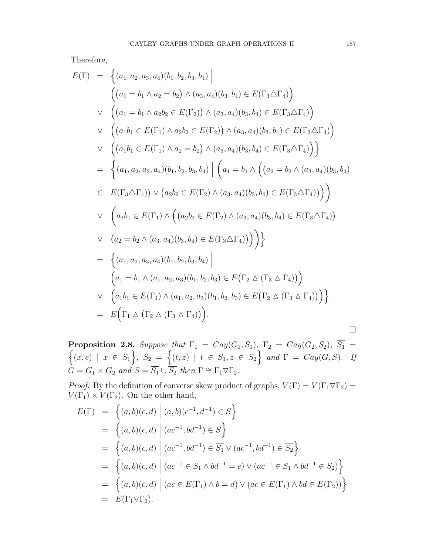Therefore,

$$
E(\Gamma) = \left\{ (a_1, a_2, a_3, a_4)(b_1, b_2, b_3, b_4) \middle| \right\}
$$
  
\n
$$
\left( (a_1 = b_1 \land a_2 = b_2) \land (a_3, a_4)(b_3, b_4) \in E(\Gamma_3 \triangle \Gamma_4) \right)
$$
  
\n
$$
\lor \left( (a_1 = b_1 \land a_2b_2 \in E(\Gamma_2)) \land (a_3, a_4)(b_3, b_4) \in E(\Gamma_3 \triangle \Gamma_4) \right)
$$
  
\n
$$
\lor \left( (a_1b_1 \in E(\Gamma_1) \land a_2b_2 \in E(\Gamma_2)) \land (a_3, a_4)(b_3, b_4) \in E(\Gamma_3 \triangle \Gamma_4) \right)
$$
  
\n
$$
\lor \left( (a_1b_1 \in E(\Gamma_1) \land a_2 = b_2) \land (a_3, a_4)(b_3, b_4) \in E(\Gamma_3 \triangle \Gamma_4) \right) \right\}
$$
  
\n
$$
= \left\{ (a_1, a_2, a_3, a_4)(b_1, b_2, b_3, b_4) \middle| \left( a_1 = b_1 \land \left( (a_2 = b_2 \land (a_3, a_4)(b_3, b_4) \in E(\Gamma_3 \triangle \Gamma_4)) \right) \right)
$$
  
\n
$$
\lor \left( a_1b_1 \in E(\Gamma_1) \land \left( (a_2b_2 \in E(\Gamma_2) \land (a_3, a_4)(b_3, b_4) \in E(\Gamma_3 \triangle \Gamma_4)) \right) \right)
$$
  
\n
$$
\lor \left( a_2 = b_2 \land (a_3, a_4)(b_3, b_4) \in E(\Gamma_3 \triangle \Gamma_4) \right) \right)
$$
  
\n
$$
\lor \left( a_2 = b_2 \land (a_3, a_4)(b_3, b_4) \in E(\Gamma_3 \triangle \Gamma_4)) \right)
$$
  
\n
$$
\lor \left( a_1 = b_1 \land (a_1, a_2, a_3)(b_1, b_2, b_3) \in E(\Gamma_2 \triangle (\Gamma_3 \triangle \Gamma_4)) \right)
$$
  
\n
$$
\lor \
$$

n **Proposition 2.8.** Suppose that  $\Gamma_1 = Cay(G_1, S_1)$ ,  $\Gamma_2 = Cay(G_2, S_2)$ ,  $S_1 =$  $(x, e) \mid x \in S_1$ ,  $\overline{S_2} = \{(t, z) \mid t \in S_1, z \in S_2\}$  and  $\Gamma = Cay(G, S)$ . If  $\widetilde{G} = G_1 \times G_2$  and  $S = \overline{S_1} \cup \overline{S_2}$  then  $\Gamma \cong \Gamma_1 \triangledown \Gamma_2$ .

*Proof.* By the definition of converse skew product of graphs,  $V(\Gamma) = V(\Gamma_1 \nabla \Gamma_2)$  $V(\Gamma_1) \times V(\Gamma_2)$ . On the other hand,

$$
E(\Gamma) = \left\{ (a, b)(c, d) \middle| (a, b)(c^{-1}, d^{-1}) \in S \right\}
$$
  
\n
$$
= \left\{ (a, b)(c, d) \middle| (ac^{-1}, bd^{-1}) \in S \right\}
$$
  
\n
$$
= \left\{ (a, b)(c, d) \middle| (ac^{-1}, bd^{-1}) \in \overline{S_1} \vee (ac^{-1}, bd^{-1}) \in \overline{S_2} \right\}
$$
  
\n
$$
= \left\{ (a, b)(c, d) \middle| (ac^{-1} \in S_1 \wedge bd^{-1} = e) \vee (ac^{-1} \in S_1 \wedge bd^{-1} \in S_2) \right\}
$$
  
\n
$$
= \left\{ (a, b)(c, d) \middle| (ac \in E(\Gamma_1) \wedge b = d) \vee (ac \in E(\Gamma_1) \wedge bd \in E(\Gamma_2)) \right\}
$$
  
\n
$$
= E(\Gamma_1 \triangledown \Gamma_2).
$$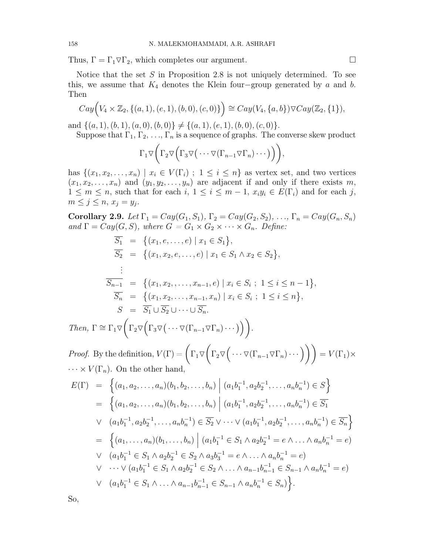Thus,  $\Gamma = \Gamma_1 \nabla \Gamma_2$ , which completes our argument.

Notice that the set S in Proposition 2.8 is not uniquely determined. To see this, we assume that  $K_4$  denotes the Klein four-group generated by a and b. Then

$$
Cay(V_4 \times \mathbb{Z}_2, \{(a,1), (e,1), (b,0), (c,0)\}) \cong Cay(V_4, \{a,b\}) \nabla Cay(\mathbb{Z}_2, \{1\}),
$$

and  $\{(a, 1), (b, 1), (a, 0), (b, 0)\}\neq \{(a, 1), (e, 1), (b, 0), (c, 0)\}.$ 

Suppose that  $\Gamma_1, \Gamma_2, \ldots, \Gamma_n$  is a sequence of graphs. The converse skew product

$$
\Gamma_1 \triangledown \left( \Gamma_2 \triangledown \left( \Gamma_3 \triangledown (\cdots \triangledown (\Gamma_{n-1} \triangledown \Gamma_n) \cdots ) \right) \right),
$$

has  $\{(x_1, x_2, \ldots, x_n) \mid x_i \in V(\Gamma_i) ; 1 \leq i \leq n\}$  as vertex set, and two vertices  $(x_1, x_2, \ldots, x_n)$  and  $(y_1, y_2, \ldots, y_n)$  are adjacent if and only if there exists m,  $1 \leq m \leq n$ , such that for each  $i, 1 \leq i \leq m-1$ ,  $x_i y_i \in E(\Gamma_i)$  and for each j,  $m \leq j \leq n, x_j = y_j.$ 

Corollary 2.9. Let  $\Gamma_1 = Cay(G_1, S_1), \Gamma_2 = Cay(G_2, S_2), \ldots, \Gamma_n = Cay(G_n, S_n)$ and  $\Gamma = Cay(G, S)$ , where  $G = G_1 \times G_2 \times \cdots \times G_n$ . Define:

$$
\overline{S_1} = \{(x_1, e, \dots, e) \mid x_1 \in S_1\}, \n\overline{S_2} = \{(x_1, x_2, e, \dots, e) \mid x_1 \in S_1 \land x_2 \in S_2\}, \n\vdots \n\overline{S_{n-1}} = \{(x_1, x_2, \dots, x_{n-1}, e) \mid x_i \in S_i ; 1 \le i \le n-1\}, \n\overline{S_n} = \{(x_1, x_2, \dots, x_{n-1}, x_n) \mid x_i \in S_i ; 1 \le i \le n\}, \nS = \overline{S_1} \cup \overline{S_2} \cup \dots \cup \overline{S_n}.
$$
\n
$$
\Gamma \cong \Gamma_1 \nabla \left( \Gamma_2 \nabla (\Gamma_3 \nabla (\dots \nabla (\Gamma_{n-1} \nabla \Gamma_n) \dots)) \right).
$$

*Proof.* By the definition,  $V(\Gamma)$  =  $\left(\Gamma_1 \triangledown \left(\Gamma_2 \triangledown \left(\cdots \triangledown (\Gamma_{n-1} \triangledown \Gamma_n) \cdots\right)\right)\right) = V(\Gamma_1) \times$  $\cdots \times V(\Gamma_n)$ . On the other hand,

$$
E(\Gamma) = \left\{ (a_1, a_2, \dots, a_n)(b_1, b_2, \dots, b_n) \middle| (a_1b_1^{-1}, a_2b_2^{-1}, \dots, a_nb_n^{-1}) \in S \right\}
$$
  
\n
$$
= \left\{ (a_1, a_2, \dots, a_n)(b_1, b_2, \dots, b_n) \middle| (a_1b_1^{-1}, a_2b_2^{-1}, \dots, a_nb_n^{-1}) \in \overline{S_1} \right\}
$$
  
\n
$$
\vee (a_1b_1^{-1}, a_2b_2^{-1}, \dots, a_nb_n^{-1}) \in \overline{S_2} \vee \dots \vee (a_1b_1^{-1}, a_2b_2^{-1}, \dots, a_nb_n^{-1}) \in \overline{S_n} \right\}
$$
  
\n
$$
= \left\{ (a_1, \dots, a_n)(b_1, \dots, b_n) \middle| (a_1b_1^{-1} \in S_1 \land a_2b_2^{-1} = e \land \dots \land a_nb_n^{-1} = e) \right\}
$$
  
\n
$$
\vee (a_1b_1^{-1} \in S_1 \land a_2b_2^{-1} \in S_2 \land a_3b_3^{-1} = e \land \dots \land a_nb_n^{-1} = e) \right\}
$$
  
\n
$$
\vee \dots \vee (a_1b_1^{-1} \in S_1 \land a_2b_2^{-1} \in S_2 \land \dots \land a_{n-1}b_{n-1}^{-1} \in S_{n-1} \land a_nb_n^{-1} = e) \right\}
$$
  
\n
$$
\vee (a_1b_1^{-1} \in S_1 \land \dots \land a_{n-1}b_{n-1}^{-1} \in S_{n-1} \land a_nb_n^{-1} \in S_n) \right\}.
$$

So,

Then,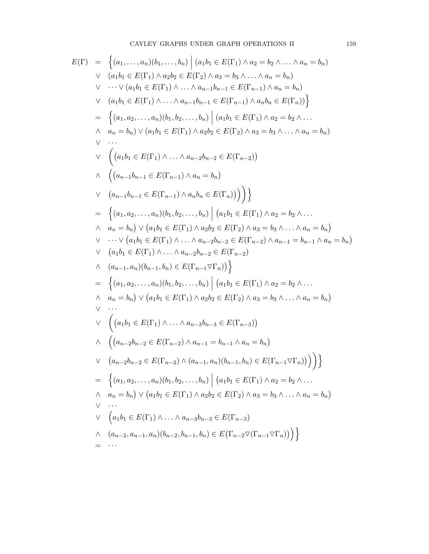$$
E(\Gamma) = \left\{ (a_1, ..., a_n)(b_1, ..., b_n) \middle| (a_1b_1 \in E(\Gamma_1) \land a_2 = b_2 \land ... \land a_n = b_n) \right\}
$$
  
\n
$$
\lor (a_1b_1 \in E(\Gamma_1) \land a_2b_2 \in E(\Gamma_2) \land a_3 = b_3 \land ... \land a_n = b_n) \right\}
$$
  
\n
$$
\lor ... \lor (a_1b_1 \in E(\Gamma_1) \land ... \land a_{n-1}b_{n-1} \in E(\Gamma_{n-1}) \land a_n b_n \in E(\Gamma_n)) \right\}
$$
  
\n
$$
= \left\{ (a_1, a_2, ..., a_n)(b_1, b_2, ..., b_n) \middle| (a_1b_1 \in E(\Gamma_1) \land a_2b_2 \in E(\Gamma_n)) \right\}
$$
  
\n
$$
= \left\{ (a_1, a_2, ..., a_n)(b_1, b_2, ..., b_n) \middle| (a_1b_1 \in E(\Gamma_1) \land a_2 = b_2 \land ... \land a_n = b_n) \right\}
$$
  
\n
$$
\lor ... \left( (a_1b_1 \in E(\Gamma_1) \land ... \land a_n = b_n) \right)
$$
  
\n
$$
\lor (a_{n-1}b_{n-1} \in E(\Gamma_{n-1}) \land a_n = b_n) \right\}
$$
  
\n
$$
\lor (a_{n-1}b_{n-1} \in E(\Gamma_{n-1}) \land a_n b_n \in E(\Gamma_n)) ) ) \right\}
$$
  
\n
$$
= \left\{ (a_1, a_2, ..., a_n)(b_1, b_2, ..., b_n) \middle| (a_1b_1 \in E(\Gamma_1) \land a_2 = b_2 \land ... \land a_n = b_n) \lor (a_1b_1 \in E(\Gamma_1) \land a_2b_2 \in E(\Gamma_2) \land a_3 = b_3 \land ... \land a_n = b_n) \lor ... \lor (a_1b_1 \in E(\Gamma_1) \land ... \land a_n = b_n - a_2 \land a_3 = b_3 \land ... \land a_n = b_n) \lor ... \lor (a_1b_1 \in E(\Gamma_1) \land a_2b_2 \in E(\Gamma_{n-2}) \land a_2b_1 = b_2 \land ... \land a_n
$$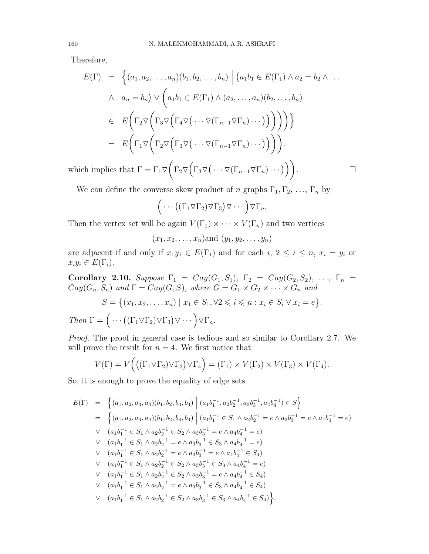Therefore,

$$
E(\Gamma) = \left\{ (a_1, a_2, \dots, a_n)(b_1, b_2, \dots, b_n) \mid (a_1b_1 \in E(\Gamma_1) \land a_2 = b_2 \land \dots \land a_n = b_n) \lor \left( a_1b_1 \in E(\Gamma_1) \land (a_2, \dots, a_n)(b_2, \dots, b_n) \right) \right\}
$$
  

$$
\in E\left(\Gamma_2 \nabla \left(\Gamma_3 \nabla \left(\Gamma_4 \nabla \left(\cdots \nabla (\Gamma_{n-1} \nabla \Gamma_n) \cdots \right)\right)\right)\right)\right\}
$$
  

$$
= E\left(\Gamma_1 \nabla \left(\Gamma_2 \nabla \left(\Gamma_3 \nabla \left(\cdots \nabla (\Gamma_{n-1} \nabla \Gamma_n) \cdots \right)\right)\right)\right).
$$

which implies that  $\Gamma = \Gamma_1 \triangledown \bigg( \Gamma_2 \triangledown \big( \Gamma_3 \triangledown \big( \cdots \triangledown (\Gamma_{n-1} \triangledown \Gamma_n) \cdots \big) \big) \bigg)$ 

. — Первый проста в сервести проста в сервести проста в сервести проста в сервести проста в сервести проста в<br>В сервести проста в сервести проста в сервести проста в сервести проста в сервести проста в сервести проста в<br>В

We can define the converse skew product of n graphs  $\Gamma_1, \Gamma_2, \ldots, \Gamma_n$  by

$$
\bigg(\cdots((\Gamma_1 \triangledown \Gamma_2) \triangledown \Gamma_3)\triangledown \cdots\bigg) \triangledown \Gamma_n.
$$

Then the vertex set will be again  $V(\Gamma_1) \times \cdots \times V(\Gamma_n)$  and two vertices

 $(x_1, x_2, \ldots, x_n)$  and  $(y_1, y_2, \ldots, y_n)$ 

are adjacent if and only if  $x_1y_1 \in E(\Gamma_1)$  and for each  $i, 2 \le i \le n$ ,  $x_i = y_i$  or  $x_i y_i \in E(\Gamma_i).$ 

Corollary 2.10. Suppose  $\Gamma_1 = Cay(G_1, S_1), \Gamma_2 = Cay(G_2, S_2), \ldots, \Gamma_n =$  $Cay(G_n, S_n)$  and  $\Gamma = Cay(G, S)$ , where  $G = G_1 \times G_2 \times \cdots \times G_n$  and  $S = \{(x_1, x_2, \ldots, x_n) \mid x_1 \in S_1, \forall 2 \leq i \leq n : x_i \in S_i \vee x_i = e\}.$ Then  $\Gamma = \left( \cdots \left( (\Gamma_1 \nabla \Gamma_2) \nabla \Gamma_3 \right) \nabla \cdots \right) \nabla \Gamma_n$ .

Proof. The proof in general case is tedious and so similar to Corollary 2.7. We will prove the result for  $n = 4$ . We first notice that

$$
V(\Gamma) = V((\Gamma_1 \triangledown \Gamma_2) \triangledown \Gamma_3) \triangledown \Gamma_4) = (\Gamma_1) \times V(\Gamma_2) \times V(\Gamma_3) \times V(\Gamma_4).
$$

So, it is enough to prove the equality of edge sets.

$$
E(\Gamma) = \left\{ (a_1, a_2, a_3, a_4)(b_1, b_2, b_3, b_4) \middle| (a_1b_1^{-1}, a_2b_2^{-1}, a_3b_3^{-1}, a_4b_4^{-1}) \in S \right\}
$$
  
\n
$$
= \left\{ (a_1, a_2, a_3, a_4)(b_1, b_2, b_3, b_4) \middle| (a_1b_1^{-1} \in S_1 \wedge a_2b_2^{-1} = e \wedge a_3b_3^{-1} = e \wedge a_4b_4^{-1} = e) \right\}
$$
  
\n
$$
\vee (a_1b_1^{-1} \in S_1 \wedge a_2b_2^{-1} \in S_2 \wedge a_3b_3^{-1} = e \wedge a_4b_4^{-1} = e) \right\}
$$
  
\n
$$
\vee (a_1b_1^{-1} \in S_1 \wedge a_2b_2^{-1} = e \wedge a_3b_3^{-1} \in S_3 \wedge a_4b_4^{-1} = e) \right\}
$$
  
\n
$$
\vee (a_1b_1^{-1} \in S_1 \wedge a_2b_2^{-1} = e \wedge a_3b_3^{-1} = e \wedge a_4b_4^{-1} \in S_4) \right\}
$$
  
\n
$$
\vee (a_1b_1^{-1} \in S_1 \wedge a_2b_2^{-1} \in S_2 \wedge a_3b_3^{-1} \in S_3 \wedge a_4b_4^{-1} = e) \right\}
$$
  
\n
$$
\vee (a_1b_1^{-1} \in S_1 \wedge a_2b_2^{-1} \in S_2 \wedge a_3b_3^{-1} = e \wedge a_4b_4^{-1} \in S_4) \right\}
$$
  
\n
$$
\vee (a_1b_1^{-1} \in S_1 \wedge a_2b_2^{-1} = e \wedge a_3b_3^{-1} \in S_3 \wedge a_4b_4^{-1} \in S_4) \right\}
$$
  
\n
$$
\vee (a_1b_1^{-1} \in S_1 \wedge a_2b_2^{-1} = e \wedge a_3b_3^{-1} \in S_3 \wedge a_4b_4^{-1} \in S_4) \right
$$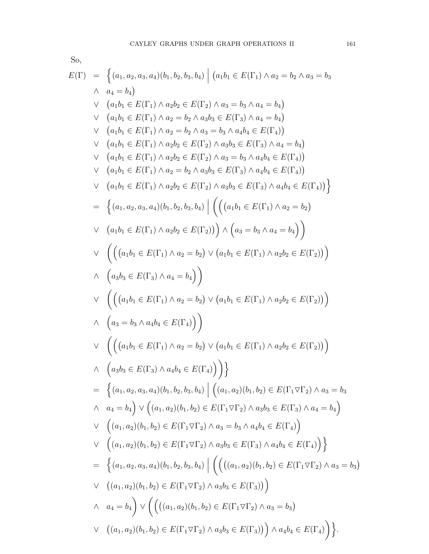$$
E(\Gamma) = \left\{ (a_1, a_2, a_3, a_4)(b_1, b_2, b_3, b_4) \mid (a_1b_1 \in E(\Gamma_1) \land a_2 = b_2 \land a_3 = b_3 \land a_4 = b_4 \right\}
$$
  
\n
$$
\land a_4 = b_4
$$
  
\n
$$
\lor (a_1b_1 \in E(\Gamma_1) \land a_2b_2 \in E(\Gamma_2) \land a_3 = b_3 \land a_4 = b_4)
$$
  
\n
$$
\lor (a_1b_1 \in E(\Gamma_1) \land a_2 = b_2 \land a_3 = b_3 \land a_4b_4 \in E(\Gamma_4))
$$
  
\n
$$
\lor (a_1b_1 \in E(\Gamma_1) \land a_2 = b_2 \land a_3 = b_3 \land a_4b_4 \in E(\Gamma_4))
$$
  
\n
$$
\lor (a_1b_1 \in E(\Gamma_1) \land a_2b_2 \in E(\Gamma_2) \land a_3 = b_3 \land a_4b_4 \in E(\Gamma_4))
$$
  
\n
$$
\lor (a_1b_1 \in E(\Gamma_1) \land a_2b_2 \in E(\Gamma_2) \land a_3 = b_3 \land a_4b_4 \in E(\Gamma_4))
$$
  
\n
$$
\lor (a_1b_1 \in E(\Gamma_1) \land a_2b_2 \in E(\Gamma_2) \land a_3b_3 \in E(\Gamma_3) \land a_4b_4 \in E(\Gamma_4))
$$
  
\n
$$
= \left\{ (a_1, a_2, a_3, a_4)(b_1, b_2, b_3, b_4) \mid \left( \left( (a_1b_1 \in E(\Gamma_1) \land a_2b_2 = b_2) \lor (a_1b_1 \in E(\Gamma_1) \land a_2b_2 \in E(\Gamma_2)) \right) \right)
$$
  
\n
$$
\land (a_3b_3 \in E(\Gamma_3) \land a_4 = b_4 \right)
$$
  
\n
$$
\lor \left( \left( (a_1b_1 \in E(\Gamma_1) \land a_2 = b_2) \lor (a_1b_1 \in E(\Gamma_1) \land a_2b_2 \in E(\Gamma_2)) \right) \right)
$$
  
\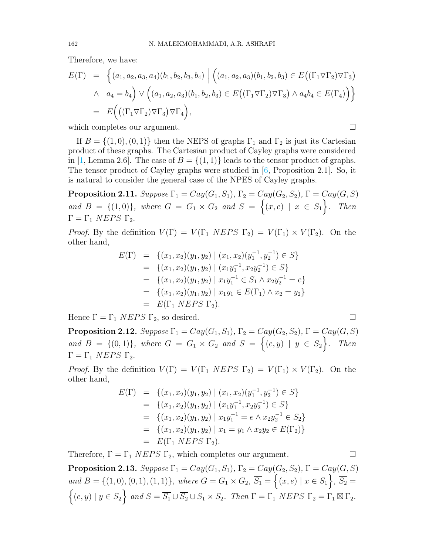Therefore, we have:

$$
E(\Gamma) = \left\{ (a_1, a_2, a_3, a_4) (b_1, b_2, b_3, b_4) \middle| \left( (a_1, a_2, a_3) (b_1, b_2, b_3) \in E((\Gamma_1 \nabla \Gamma_2) \nabla \Gamma_3) \right) \right\}
$$
  
 
$$
\wedge a_4 = b_4 \right\} \vee \left( (a_1, a_2, a_3) (b_1, b_2, b_3) \in E((\Gamma_1 \nabla \Gamma_2) \nabla \Gamma_3) \wedge a_4 b_4 \in E(\Gamma_4) \right) \right\}
$$
  
 
$$
= E\Big((\Gamma_1 \nabla \Gamma_2) \nabla \Gamma_3) \nabla \Gamma_4 \Big),
$$

which completes our argument.

If  $B = \{(1,0), (0,1)\}\$  then the NEPS of graphs  $\Gamma_1$  and  $\Gamma_2$  is just its Cartesian product of these graphs. The Cartesian product of Cayley graphs were considered in [\[1,](#page-12-7) Lemma 2.6]. The case of  $B = \{(1, 1)\}\)$  leads to the tensor product of graphs. The tensor product of Cayley graphs were studied in [\[6,](#page-12-8) Proposition 2.1]. So, it is natural to consider the general case of the NPES of Cayley graphs.

**Proposition 2.11.** Suppose  $\Gamma_1 = Cay(G_1, S_1), \Gamma_2 = Cay(G_2, S_2), \Gamma = Cay(G, S)$ and  $B = \{(1,0)\}\$ , where  $G = G_1 \times G_2$  and  $S = \{(x,e) | x \in S_1\}$ . Then  $Γ = Γ_1$  NEPS Γ<sub>2</sub>.

*Proof.* By the definition  $V(\Gamma) = V(\Gamma_1 \text{ NEPS } \Gamma_2) = V(\Gamma_1) \times V(\Gamma_2)$ . On the other hand,

$$
E(\Gamma) = \{ (x_1, x_2)(y_1, y_2) \mid (x_1, x_2)(y_1^{-1}, y_2^{-1}) \in S \}
$$
  
\n
$$
= \{ (x_1, x_2)(y_1, y_2) \mid (x_1y_1^{-1}, x_2y_2^{-1}) \in S \}
$$
  
\n
$$
= \{ (x_1, x_2)(y_1, y_2) \mid x_1y_1^{-1} \in S_1 \land x_2y_2^{-1} = e \}
$$
  
\n
$$
= \{ (x_1, x_2)(y_1, y_2) \mid x_1y_1 \in E(\Gamma_1) \land x_2 = y_2 \}
$$
  
\n
$$
= E(\Gamma_1 \ NEPS \Gamma_2).
$$

Hence  $\Gamma = \Gamma_1 \text{ } NEPS \Gamma_2$ , so desired.

**Proposition 2.12.** Suppose  $\Gamma_1 = Cay(G_1, S_1), \Gamma_2 = Cay(G_2, S_2), \Gamma = Cay(G, S)$ and  $B = \{(0,1)\}\$ , where  $G = G_1 \times G_2$  and  $S = \{(e,y) | y \in S_2\}$ . Then  $Γ = Γ_1$  NEPS Γ<sub>2</sub>.

*Proof.* By the definition  $V(\Gamma) = V(\Gamma_1 \ NEPS \ \Gamma_2) = V(\Gamma_1) \times V(\Gamma_2)$ . On the other hand,

$$
E(\Gamma) = \{ (x_1, x_2)(y_1, y_2) \mid (x_1, x_2)(y_1^{-1}, y_2^{-1}) \in S \}
$$
  
\n
$$
= \{ (x_1, x_2)(y_1, y_2) \mid (x_1y_1^{-1}, x_2y_2^{-1}) \in S \}
$$
  
\n
$$
= \{ (x_1, x_2)(y_1, y_2) \mid x_1y_1^{-1} = e \land x_2y_2^{-1} \in S_2 \}
$$
  
\n
$$
= \{ (x_1, x_2)(y_1, y_2) \mid x_1 = y_1 \land x_2y_2 \in E(\Gamma_2) \}
$$
  
\n
$$
= E(\Gamma_1 \ N EPS \Gamma_2).
$$

Therefore,  $\Gamma = \Gamma_1$  NEPS  $\Gamma_2$ , which completes our argument.

**Proposition 2.13.** Suppose  $\Gamma_1 = Cay(G_1, S_1)$ ,  $\Gamma_2 = Cay(G_2, S_2)$ ,  $\Gamma = Cay(G, S)$ and  $B = \{(1,0), (0,1), (1,1)\}\$ , where  $G = G_1 \times G_2$ ,  $\overline{S_1} = \{(x, e) \mid x \in S_1\}$ ,  $\overline{S_2} =$  $\left\{(e,y) \mid y \in S_2\right\}$  and  $S = \overline{S_1} \cup \overline{S_2} \cup S_1 \times S_2$ . Then  $\Gamma = \Gamma_1$  NEPS  $\Gamma_2 = \Gamma_1 \boxtimes \Gamma_2$ .